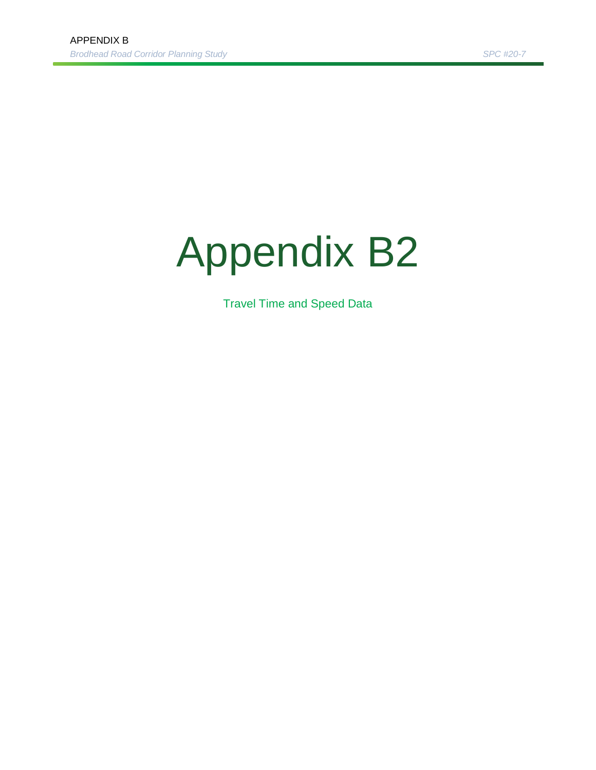## Appendix B2

Travel Time and Speed Data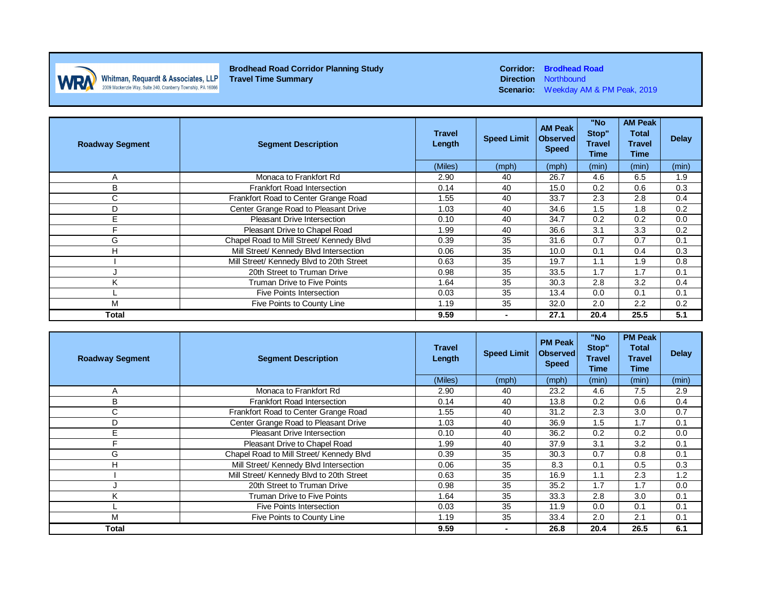

**Direction** Northbound **Scenario:** Weekday AM & PM Peak, 2019

| <b>Roadway Segment</b> | <b>Segment Description</b>                                        | <b>Travel</b><br>Length   | <b>Speed Limit</b> | <b>AM Peak</b><br><b>Observed</b><br><b>Speed</b> | "No<br>Stop"<br><b>Travel</b><br>Time | <b>AM Peak</b><br><b>Total</b><br><b>Travel</b><br>Time | <b>Delay</b> |
|------------------------|-------------------------------------------------------------------|---------------------------|--------------------|---------------------------------------------------|---------------------------------------|---------------------------------------------------------|--------------|
|                        |                                                                   | (Miles)                   | (mph)              | (mph)                                             | (min)                                 | (min)                                                   | (min)        |
| A                      | Monaca to Frankfort Rd                                            | 2.90                      | 40                 | 26.7                                              | 4.6                                   | 6.5                                                     | 1.9          |
| B                      | Frankfort Road Intersection                                       | 0.14                      | 40                 | 15.0                                              | 0.2                                   | 0.6                                                     | 0.3          |
| С                      | Frankfort Road to Center Grange Road<br>33.7<br>2.3<br>1.55<br>40 |                           | 2.8                | 0.4                                               |                                       |                                                         |              |
| D                      | Center Grange Road to Pleasant Drive                              | 1.03                      | 40                 | 34.6                                              | 1.5                                   | 1.8                                                     | 0.2          |
| E                      | Pleasant Drive Intersection                                       | 0.10                      | 40                 | 34.7                                              | 0.2                                   | 0.2                                                     | 0.0          |
| Е                      | Pleasant Drive to Chapel Road                                     | 1.99                      | 40                 | 36.6                                              | 3.1                                   | 3.3                                                     | 0.2          |
| G                      | Chapel Road to Mill Street/ Kennedy Blvd                          | 0.39                      | 35                 | 31.6                                              | 0.7                                   | 0.7                                                     | 0.1          |
| н                      | Mill Street/ Kennedy Blvd Intersection                            | 0.06                      | 35                 | 10.0                                              | 0.1                                   | 0.4                                                     | 0.3          |
|                        | Mill Street/ Kennedy Blvd to 20th Street                          | 0.63                      | 35                 | 19.7                                              | 1.1                                   | 1.9                                                     | 0.8          |
|                        | 20th Street to Truman Drive                                       | 35<br>1.7<br>0.98<br>33.5 |                    | 1.7                                               | 0.1                                   |                                                         |              |
| κ                      | Truman Drive to Five Points                                       | 1.64                      | 35                 | 30.3                                              | 2.8                                   | 3.2                                                     | 0.4          |
|                        | Five Points Intersection                                          | 0.03                      | 35                 | 13.4                                              | 0.0                                   | 0.1                                                     | 0.1          |
| M                      | Five Points to County Line                                        | 1.19                      | 35                 | 32.0                                              | 2.0                                   | 2.2                                                     | 0.2          |
| <b>Total</b>           |                                                                   | 9.59                      | $\blacksquare$     | 27.1                                              | 20.4                                  | 25.5                                                    | 5.1          |

| <b>Roadway Segment</b> | <b>Segment Description</b>               | <b>Travel</b><br>Length<br>(Miles) | <b>Speed Limit</b> | <b>PM Peak</b><br><b>Observed</b><br><b>Speed</b><br>(mph) | "No<br>Stop"<br>Travel<br>Time<br>(min) | <b>PM Peak</b><br>Total<br><b>Travel</b><br>Time<br>(min) | <b>Delay</b><br>(min) |
|------------------------|------------------------------------------|------------------------------------|--------------------|------------------------------------------------------------|-----------------------------------------|-----------------------------------------------------------|-----------------------|
|                        | Monaca to Frankfort Rd                   | 2.90                               | (mph)<br>40        | 23.2                                                       | 4.6                                     | 7.5                                                       | 2.9                   |
| A<br>В                 | <b>Frankfort Road Intersection</b>       | 0.14                               | 40                 | 13.8                                                       | 0.2                                     | 0.6                                                       | 0.4                   |
|                        |                                          |                                    |                    |                                                            |                                         |                                                           |                       |
| С                      | Frankfort Road to Center Grange Road     | 1.55                               | 40                 | 31.2                                                       | 2.3                                     | 3.0                                                       | 0.7                   |
| D                      | Center Grange Road to Pleasant Drive     | 1.03                               | 40                 | 36.9                                                       | 1.5                                     | 1.7                                                       | 0.1                   |
| E                      | Pleasant Drive Intersection              | 0.10                               | 40                 | 36.2                                                       | 0.2                                     | 0.2                                                       | 0.0                   |
| E                      | Pleasant Drive to Chapel Road            | 1.99                               | 40                 | 37.9                                                       | 3.1                                     | 3.2                                                       | 0.1                   |
| G                      | Chapel Road to Mill Street/ Kennedy Blvd | 0.39                               | 35                 | 30.3                                                       | 0.7                                     | 0.8                                                       | 0.1                   |
| н                      | Mill Street/ Kennedy Blvd Intersection   | 0.06                               | 35                 | 8.3                                                        | 0.1                                     | 0.5                                                       | 0.3                   |
|                        | Mill Street/ Kennedy Blvd to 20th Street | 0.63                               | 35                 | 16.9                                                       | 1.1                                     | 2.3                                                       | 1.2                   |
|                        | 20th Street to Truman Drive              | 0.98                               | 35                 | 35.2                                                       | 1.7                                     | 1.7                                                       | 0.0                   |
| K                      | <b>Truman Drive to Five Points</b>       | 1.64                               | 35                 | 33.3                                                       | 2.8                                     | 3.0                                                       | 0.1                   |
|                        | <b>Five Points Intersection</b>          | 0.03                               | 35                 | 11.9                                                       | 0.0                                     | 0.1                                                       | 0.1                   |
| м                      | Five Points to County Line               | 1.19                               | 35                 | 33.4                                                       | 2.0                                     | 2.1                                                       | 0.1                   |
| Total                  |                                          | 9.59                               | ۰                  | 26.8                                                       | 20.4                                    | 26.5                                                      | 6.1                   |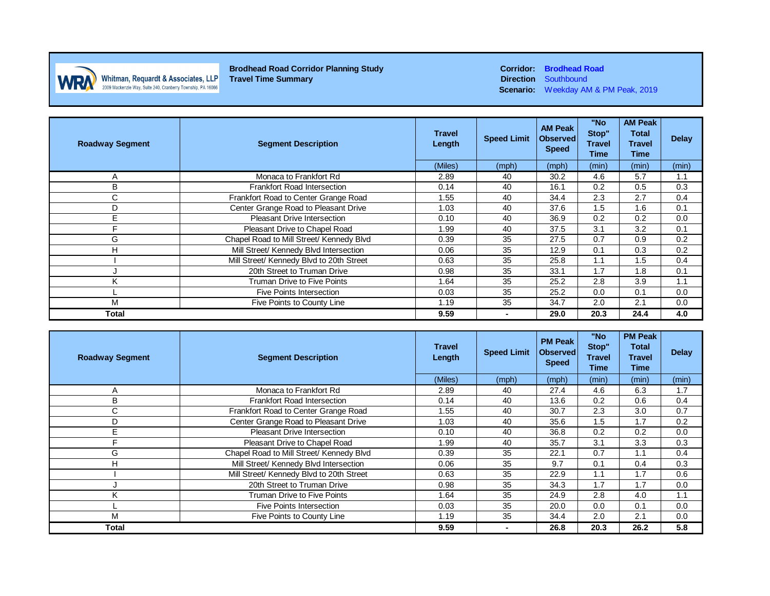

**Brodhead Road Corridor Planning Study Corridor: Brodhead Road Travel Time Summary Corridor: Brodhead Road Direction** Southbound **Whitman, Requardt & Associates, LLP**<br>2009 Mackenzie Way, Suite 240, Cranberry Township, PA 16066

**Direction** Southbound **Scenario:** Weekday AM & PM Peak, 2019

| <b>Roadway Segment</b> | <b>Segment Description</b>               | <b>Travel</b><br>Length   | <b>Speed Limit</b> | <b>AM Peak</b><br><b>Observed</b><br><b>Speed</b> | "No<br>Stop"<br><b>Travel</b><br>Time | <b>AM Peak</b><br><b>Total</b><br><b>Travel</b><br>Time | <b>Delay</b> |
|------------------------|------------------------------------------|---------------------------|--------------------|---------------------------------------------------|---------------------------------------|---------------------------------------------------------|--------------|
|                        |                                          | (Miles)                   | (mph)              | (mph)                                             | (min)                                 | (min)                                                   | (min)        |
| A                      | Monaca to Frankfort Rd                   | 30.2<br>4.6<br>2.89<br>40 |                    | 5.7                                               | 1.1                                   |                                                         |              |
| В                      | Frankfort Road Intersection              | 0.14                      | 40                 | 16.1                                              | 0.2                                   | 0.5                                                     | 0.3          |
| С                      | Frankfort Road to Center Grange Road     | 1.55                      | 40                 | 34.4                                              | 2.3                                   | 2.7                                                     | 0.4          |
| D                      | Center Grange Road to Pleasant Drive     | 1.03                      | 40                 | 37.6                                              | 1.5                                   | 1.6                                                     | 0.1          |
| E                      | <b>Pleasant Drive Intersection</b>       | 0.10                      | 40                 | 36.9                                              | 0.2                                   | 0.2                                                     | 0.0          |
| Е                      | Pleasant Drive to Chapel Road            | 1.99                      | 40                 | 37.5                                              | 3.1                                   | 3.2                                                     | 0.1          |
| G                      | Chapel Road to Mill Street/ Kennedy Blvd | 0.39                      | 35                 | 27.5                                              | 0.9<br>0.7                            |                                                         | 0.2          |
| Н                      | Mill Street/ Kennedy Blvd Intersection   | 0.06                      | 35                 | 12.9                                              | 0.1                                   | 0.3                                                     | 0.2          |
|                        | Mill Street/ Kennedy Blvd to 20th Street | 0.63                      | 35                 | 25.8                                              | 1.1                                   | 1.5                                                     | 0.4          |
|                        | 20th Street to Truman Drive              | 0.98                      | 35<br>1.7<br>33.1  |                                                   | 1.8                                   | 0.1                                                     |              |
| Κ                      | Truman Drive to Five Points              | 1.64                      | 35                 | 25.2                                              | 2.8                                   | 3.9                                                     | 1.1          |
|                        | Five Points Intersection                 | 0.03                      | 35                 | 25.2                                              | 0.0                                   | 0.1                                                     | 0.0          |
| M                      | Five Points to County Line               | 1.19                      | 35                 | 34.7                                              | 2.0                                   | 2.1                                                     | 0.0          |
| <b>Total</b>           |                                          | 9.59                      |                    | 29.0                                              | 20.3                                  | 24.4                                                    | 4.0          |

| <b>Roadway Segment</b> | <b>Segment Description</b>               | <b>Travel</b><br>Length | <b>Speed Limit</b> | <b>PM Peak</b><br><b>Observed</b><br><b>Speed</b> | "No<br>Stop"<br>Travel<br>Time | <b>PM Peak</b><br><b>Total</b><br><b>Travel</b><br>Time | <b>Delay</b> |
|------------------------|------------------------------------------|-------------------------|--------------------|---------------------------------------------------|--------------------------------|---------------------------------------------------------|--------------|
|                        |                                          | (Miles)                 | (mph)              | (mph)                                             | (min)                          | (min)                                                   | (min)        |
| A                      | Monaca to Frankfort Rd                   | 2.89                    | 40                 | 27.4                                              | 4.6                            | 6.3                                                     | 1.7          |
| B                      | Frankfort Road Intersection              | 0.14                    | 40                 | 13.6                                              | 0.2                            | 0.6                                                     | 0.4          |
| C                      | Frankfort Road to Center Grange Road     | 1.55                    | 40                 | 30.7                                              | 2.3                            | 3.0                                                     | 0.7          |
| D                      | Center Grange Road to Pleasant Drive     | 1.03                    | 40                 | 35.6                                              | 1.5                            | 1.7                                                     | 0.2          |
| E                      | <b>Pleasant Drive Intersection</b>       | 0.10                    | 40                 | 36.8                                              | 0.2                            | 0.2                                                     | 0.0          |
| F                      | Pleasant Drive to Chapel Road            | 1.99                    | 40                 | 35.7                                              | 3.1                            | 3.3                                                     | 0.3          |
| G                      | Chapel Road to Mill Street/ Kennedy Blvd | 0.39                    | 35                 | 22.1                                              | 0.7                            | 1.1                                                     | 0.4          |
| H                      | Mill Street/ Kennedy Blvd Intersection   | 0.06                    | 35                 | 9.7                                               | 0.1                            | 0.4                                                     | 0.3          |
|                        | Mill Street/ Kennedy Blvd to 20th Street | 0.63                    | 35                 | 22.9                                              | 1.1                            | 1.7                                                     | 0.6          |
|                        | 20th Street to Truman Drive              | 0.98                    | 35                 | 34.3                                              | 1.7                            | 1.7                                                     | 0.0          |
| K                      | Truman Drive to Five Points              | 1.64                    | 35                 | 24.9                                              | 2.8                            | 4.0                                                     | 1.1          |
|                        | Five Points Intersection                 | 0.03                    | 35                 | 20.0                                              | 0.0                            | 0.1                                                     | 0.0          |
| M                      | Five Points to County Line               | 1.19                    | 35                 | 34.4                                              | 2.0                            | 2.1                                                     | 0.0          |
| <b>Total</b>           |                                          | 9.59                    | -                  | 26.8                                              | 20.3                           | 26.2                                                    | 5.8          |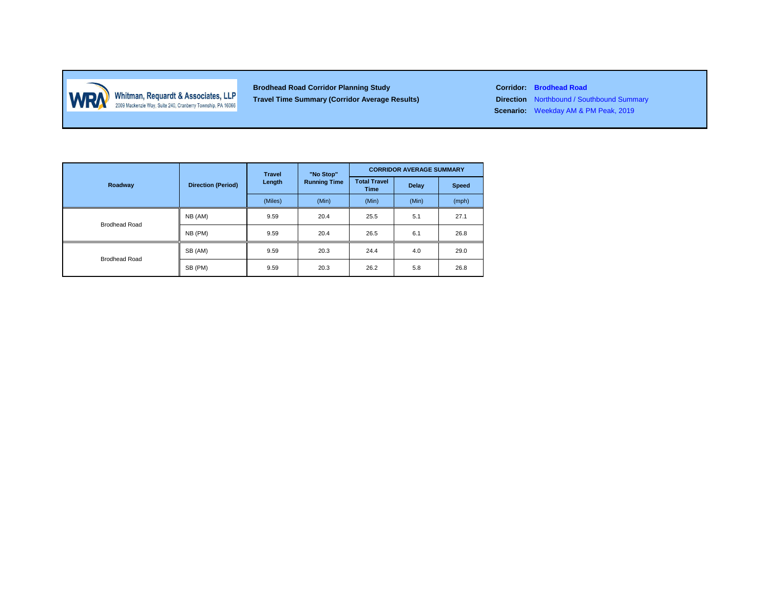

Whitman, Requardt & Associates, LLP<br>2009 Mackenzie Way, Suite 240, Cranberry Township, PA 16066

**Brodhead Road Corridor Planning Study Corridor: Brodhead Road Travel Time Summary (Corridor Average Results) Direction** Northbound / Southbound Summary

**Scenario:** Weekday AM & PM Peak, 2019

|                      | <b>Direction (Period)</b> | <b>Travel</b> | "No Stop"           | <b>CORRIDOR AVERAGE SUMMARY</b> |       |              |  |
|----------------------|---------------------------|---------------|---------------------|---------------------------------|-------|--------------|--|
| Roadway              |                           | Length        | <b>Running Time</b> | <b>Total Travel</b><br>Time     | Delay | <b>Speed</b> |  |
|                      |                           | (Miles)       | (Min)               | (Min)                           | (Min) | (mph)        |  |
| <b>Brodhead Road</b> | NB (AM)                   | 9.59          | 20.4                | 25.5                            | 5.1   | 27.1         |  |
|                      | NB (PM)                   | 9.59          | 20.4                | 26.5                            | 6.1   | 26.8         |  |
| <b>Brodhead Road</b> | SB (AM)                   | 9.59          | 20.3                | 24.4                            | 4.0   | 29.0         |  |
|                      | SB (PM)                   | 9.59          | 20.3                | 26.2                            | 5.8   | 26.8         |  |